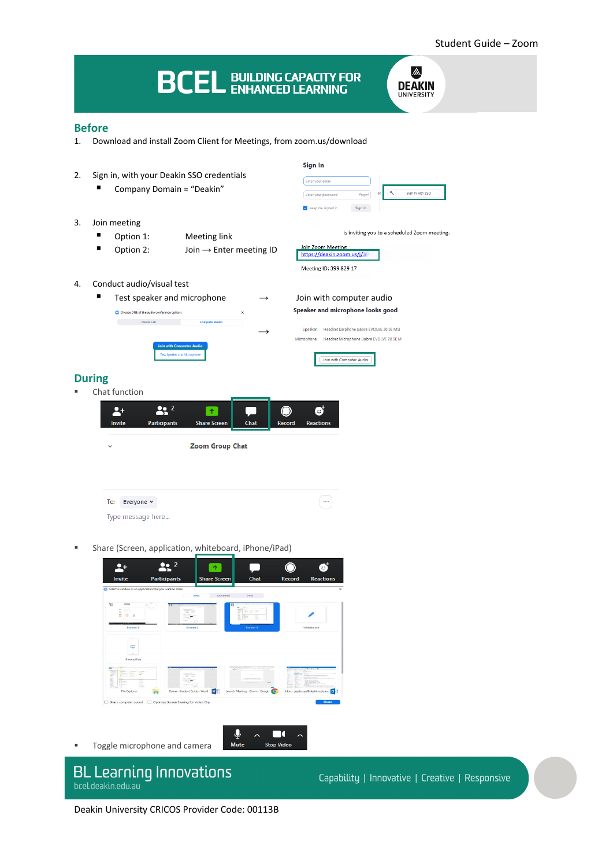#### **BCEL BUILDING CAPACITY FOR** M. **DEAKIN IINIVERSITY Before** 1. Download and install Zoom Client for Meetings, from zoom.us/download Sign In 2. Sign in, with your Deakin SSO credentials Enter your email ■ Company Domain = "Deakin" Sign In with SSO  $\mathbf{a}$ Enter your password Forgot?  $\overline{\smash{\bigtriangledown}}$  Keep me signed in Sign In 3. Join meeting is inviting you to a scheduled Zoom meeting. ■ Option 1: Meeting link Join Zoom Meeting<br>https://deakin.zoom.us/j/3 ■ Option 2: Join → Enter meeting ID Meeting ID: 399 829 17 4. Conduct audio/visual test **■** Test speaker and microphone  $\rightarrow$  Join with computer audio Speaker and microphone looks good C Choose ONE of the audio conference options **Example 2018** Phone Call Speaker: Headset Earphone (Jabra EVOLVE 20 SE MS) **→**Headset Microphone (Jabra EVOLVE 20 SE M Join with Computer Audio **During** Chat function  $\blacktriangle^+$  $22<sup>2</sup>$  $\overline{\bullet}$  $\bf O$ ø Invite Participants **Share Scr** Chat Record Reactio  $\ddot{\phantom{0}}$ **Zoom Group Chat** To: Everyone  $\sim$  $\lceil \dots \rceil$ Type message here...

Share (Screen, application, whiteboard, iPhone/iPad)



Q

Mute

 $\overline{\phantom{1}}$ 

◘

**Stop Video** 

**Toggle microphone and camera** 

# **BL Learning Innovations** bcel.deakin.edu.au

Capability | Innovative | Creative | Responsive

Deakin University CRICOS Provider Code: 00113B